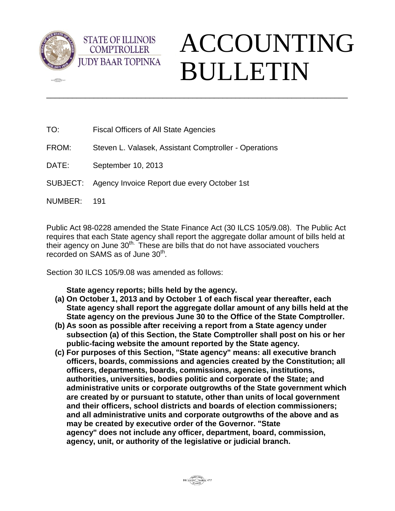

 $\sqrt{2}$ 

## ACCOUNTING BULLETIN

TO: Fiscal Officers of All State Agencies

**STATE OF ILLINOIS COMPTROLLER** 

- FROM: Steven L. Valasek, Assistant Comptroller Operations
- DATE: September 10, 2013
- SUBJECT: Agency Invoice Report due every October 1st
- NUMBER: 191

Public Act 98-0228 amended the State Finance Act (30 ILCS 105/9.08). The Public Act requires that each State agency shall report the aggregate dollar amount of bills held at their agency on June  $30<sup>th</sup>$ . These are bills that do not have associated vouchers recorded on SAMS as of June 30<sup>th</sup>.

\_\_\_\_\_\_\_\_\_\_\_\_\_\_\_\_\_\_\_\_\_\_\_\_\_\_\_\_\_\_\_\_\_\_\_\_\_\_\_\_\_\_\_\_\_\_\_\_\_\_\_\_\_\_\_\_\_\_\_\_\_\_\_\_\_\_\_\_\_\_

Section 30 ILCS 105/9.08 was amended as follows:

**State agency reports; bills held by the agency.** 

- **(a) On October 1, 2013 and by October 1 of each fiscal year thereafter, each State agency shall report the aggregate dollar amount of any bills held at the State agency on the previous June 30 to the Office of the State Comptroller.**
- **(b) As soon as possible after receiving a report from a State agency under subsection (a) of this Section, the State Comptroller shall post on his or her public-facing website the amount reported by the State agency.**
- **(c) For purposes of this Section, "State agency" means: all executive branch officers, boards, commissions and agencies created by the Constitution; all officers, departments, boards, commissions, agencies, institutions, authorities, universities, bodies politic and corporate of the State; and administrative units or corporate outgrowths of the State government which are created by or pursuant to statute, other than units of local government and their officers, school districts and boards of election commissioners; and all administrative units and corporate outgrowths of the above and as may be created by executive order of the Governor. "State agency" does not include any officer, department, board, commission, agency, unit, or authority of the legislative or judicial branch.**